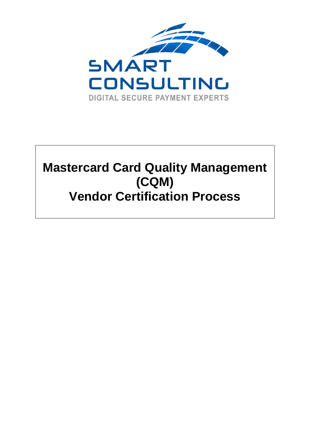

# **Mastercard Card Quality Management (CQM) Vendor Certification Process**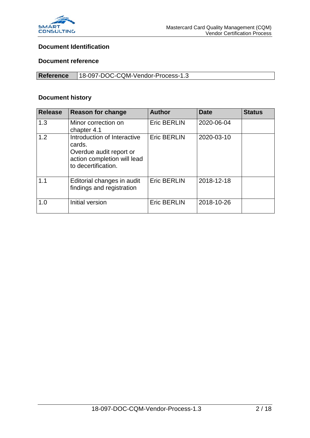

#### **Document Identification**

#### **Document reference**

| Reference | 18-097-DOC-CQM-Vendor-Process-1.3 |
|-----------|-----------------------------------|

#### **Document history**

| <b>Release</b> | <b>Reason for change</b>                                                                                               | <b>Author</b>      | <b>Date</b> | <b>Status</b> |
|----------------|------------------------------------------------------------------------------------------------------------------------|--------------------|-------------|---------------|
| 1.3            | Minor correction on<br>chapter 4.1                                                                                     | <b>Eric BERLIN</b> | 2020-06-04  |               |
| 1.2            | Introduction of Interactive<br>cards.<br>Overdue audit report or<br>action completion will lead<br>to decertification. | <b>Eric BERLIN</b> | 2020-03-10  |               |
| 1.1            | Editorial changes in audit<br>findings and registration                                                                | <b>Eric BERLIN</b> | 2018-12-18  |               |
| 1.0            | Initial version                                                                                                        | <b>Eric BERLIN</b> | 2018-10-26  |               |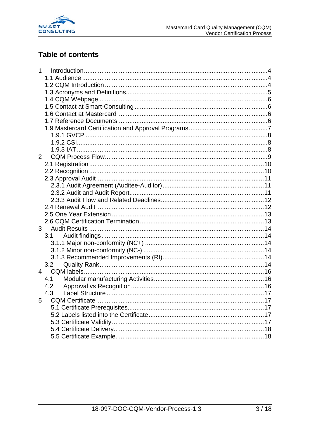

### **Table of contents**

| 1              |     |  |
|----------------|-----|--|
|                |     |  |
|                |     |  |
|                |     |  |
|                |     |  |
|                |     |  |
|                |     |  |
|                |     |  |
|                |     |  |
|                |     |  |
|                |     |  |
|                |     |  |
| $\overline{2}$ |     |  |
|                |     |  |
|                |     |  |
|                |     |  |
|                |     |  |
|                |     |  |
|                |     |  |
|                |     |  |
|                |     |  |
|                |     |  |
| 3 <sup>7</sup> | 3.1 |  |
|                |     |  |
|                |     |  |
|                |     |  |
|                | 3.2 |  |
| 4              |     |  |
|                | 4.1 |  |
|                | 4.2 |  |
|                | 4.3 |  |
| 5              |     |  |
|                |     |  |
|                |     |  |
|                |     |  |
|                |     |  |
|                |     |  |
|                |     |  |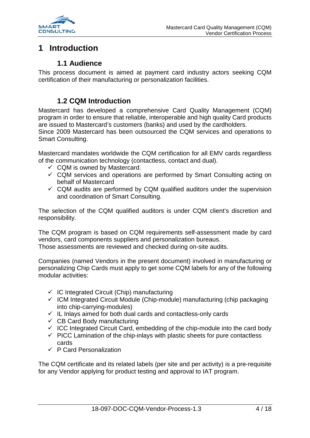

### <span id="page-3-0"></span>**1 Introduction**

#### **1.1 Audience**

<span id="page-3-1"></span>This process document is aimed at payment card industry actors seeking CQM certification of their manufacturing or personalization facilities.

### **1.2 CQM Introduction**

<span id="page-3-2"></span>Mastercard has developed a comprehensive Card Quality Management (CQM) program in order to ensure that reliable, interoperable and high quality Card products are issued to Mastercard's customers (banks) and used by the cardholders.

Since 2009 Mastercard has been outsourced the CQM services and operations to Smart Consulting.

Mastercard mandates worldwide the CQM certification for all EMV cards regardless of the communication technology (contactless, contact and dual).

- $\checkmark$  CQM is owned by Mastercard.
- $\checkmark$  CQM services and operations are performed by Smart Consulting acting on behalf of Mastercard
- $\checkmark$  CQM audits are performed by CQM qualified auditors under the supervision and coordination of Smart Consulting.

The selection of the CQM qualified auditors is under CQM client's discretion and responsibility.

The CQM program is based on CQM requirements self-assessment made by card vendors, card components suppliers and personalization bureaus. Those assessments are reviewed and checked during on-site audits.

Companies (named Vendors in the present document) involved in manufacturing or personalizing Chip Cards must apply to get some CQM labels for any of the following modular activities:

- $\checkmark$  IC Integrated Circuit (Chip) manufacturing
- $\checkmark$  ICM Integrated Circuit Module (Chip-module) manufacturing (chip packaging into chip-carrying-modules)
- $\checkmark$  IL Inlays aimed for both dual cards and contactless-only cards
- $\checkmark$  CB Card Body manufacturing
- $\checkmark$  ICC Integrated Circuit Card, embedding of the chip-module into the card body
- $\checkmark$  PICC Lamination of the chip-inlays with plastic sheets for pure contactless cards
- $\checkmark$  P Card Personalization

The CQM certificate and its related labels (per site and per activity) is a pre-requisite for any Vendor applying for product testing and approval to IAT program.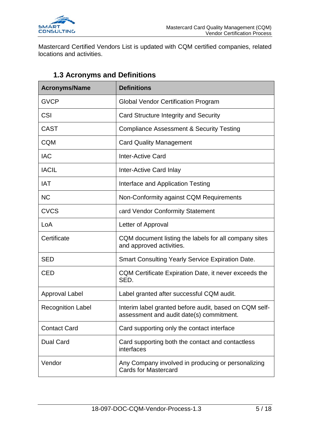

Mastercard Certified Vendors List is updated with CQM certified companies, related locations and activities.

<span id="page-4-0"></span>

| <b>Acronyms/Name</b>      | <b>Definitions</b>                                                                                 |
|---------------------------|----------------------------------------------------------------------------------------------------|
| <b>GVCP</b>               | <b>Global Vendor Certification Program</b>                                                         |
| <b>CSI</b>                | Card Structure Integrity and Security                                                              |
| <b>CAST</b>               | <b>Compliance Assessment &amp; Security Testing</b>                                                |
| <b>CQM</b>                | <b>Card Quality Management</b>                                                                     |
| <b>IAC</b>                | <b>Inter-Active Card</b>                                                                           |
| <b>IACIL</b>              | Inter-Active Card Inlay                                                                            |
| <b>IAT</b>                | Interface and Application Testing                                                                  |
| <b>NC</b>                 | Non-Conformity against CQM Requirements                                                            |
| <b>CVCS</b>               | card Vendor Conformity Statement                                                                   |
| LoA<br>Letter of Approval |                                                                                                    |
| Certificate               | CQM document listing the labels for all company sites<br>and approved activities.                  |
| <b>SED</b>                | <b>Smart Consulting Yearly Service Expiration Date.</b>                                            |
| <b>CED</b>                | CQM Certificate Expiration Date, it never exceeds the<br>SED.                                      |
| <b>Approval Label</b>     | Label granted after successful CQM audit.                                                          |
| <b>Recognition Label</b>  | Interim label granted before audit, based on CQM self-<br>assessment and audit date(s) commitment. |
| <b>Contact Card</b>       | Card supporting only the contact interface                                                         |
| <b>Dual Card</b>          | Card supporting both the contact and contactless<br>interfaces                                     |
| Vendor                    | Any Company involved in producing or personalizing<br><b>Cards for Mastercard</b>                  |

### **1.3 Acronyms and Definitions**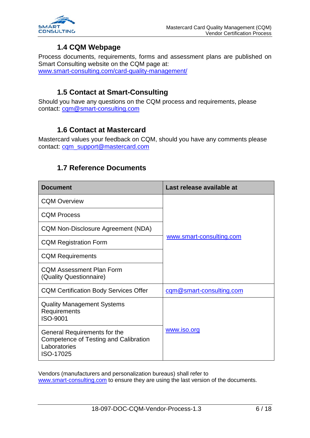

#### **1.4 CQM Webpage**

<span id="page-5-0"></span>Process documents, requirements, forms and assessment plans are published on Smart Consulting website on the CQM page at: [www.smart-consulting.com/card-quality-management/](http://www.smart-consulting.com/card-quality-management/)

#### **1.5 Contact at Smart-Consulting**

<span id="page-5-1"></span>Should you have any questions on the CQM process and requirements, please contact: [cqm@smart-consulting.com](mailto:cqm@smart-consulting.com)

#### **1.6 Contact at Mastercard**

<span id="page-5-3"></span><span id="page-5-2"></span>Mastercard values your feedback on CQM, should you have any comments please contact: [cqm\\_support@mastercard.com](mailto:cqm_support@mastercard.com)

#### **1.7 Reference Documents**

| <b>Document</b>                                                                                    | Last release available at |  |
|----------------------------------------------------------------------------------------------------|---------------------------|--|
| <b>CQM Overview</b>                                                                                |                           |  |
| <b>CQM Process</b>                                                                                 |                           |  |
| CQM Non-Disclosure Agreement (NDA)                                                                 |                           |  |
| <b>CQM Registration Form</b>                                                                       | www.smart-consulting.com  |  |
| <b>CQM Requirements</b>                                                                            |                           |  |
| <b>CQM Assessment Plan Form</b><br>(Quality Questionnaire)                                         |                           |  |
| <b>CQM Certification Body Services Offer</b>                                                       | cqm@smart-consulting.com  |  |
| <b>Quality Management Systems</b><br>Requirements<br>ISO-9001                                      |                           |  |
| General Requirements for the<br>Competence of Testing and Calibration<br>Laboratories<br>ISO-17025 | www.iso.org               |  |

Vendors (manufacturers and personalization bureaus) shall refer to [www.smart-consulting.com](http://www.smart-consulting.com/) to ensure they are using the last version of the documents.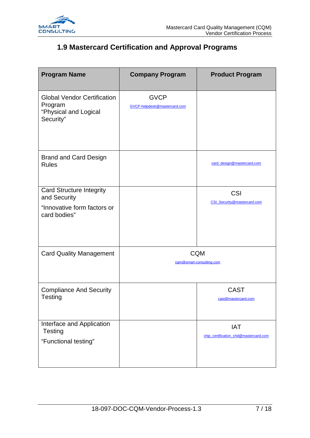

### <span id="page-6-0"></span>**1.9 Mastercard Certification and Approval Programs**

| <b>Program Name</b>                                                                            | <b>Company Program</b>                      | <b>Product Program</b>                              |
|------------------------------------------------------------------------------------------------|---------------------------------------------|-----------------------------------------------------|
| <b>Global Vendor Certification</b><br>Program<br>"Physical and Logical<br>Security"            | <b>GVCP</b><br>GVCP-helpdesk@mastercard.com |                                                     |
| <b>Brand and Card Design</b><br><b>Rules</b>                                                   |                                             | card design@mastercard.com                          |
| <b>Card Structure Integrity</b><br>and Security<br>"Innovative form factors or<br>card bodies" |                                             | CSI<br>CSI_Security@mastercard.com                  |
| <b>Card Quality Management</b>                                                                 |                                             | <b>CQM</b><br>cam@smart-consulting.com              |
| <b>Compliance And Security</b><br>Testing                                                      |                                             | <b>CAST</b><br>cast@mastercard.com                  |
| Interface and Application<br><b>Testing</b><br>"Functional testing"                            |                                             | <b>IAT</b><br>chip_certification_chd@mastercard.com |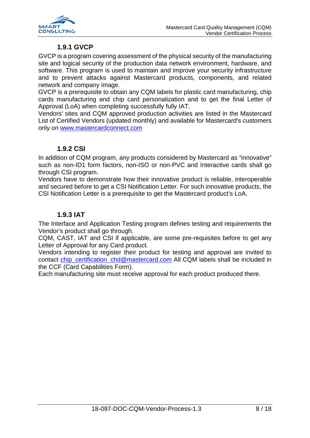

#### **1.9.1 GVCP**

<span id="page-7-0"></span>GVCP is a program covering assessment of the physical security of the manufacturing site and logical security of the production data network environment, hardware, and software. This program is used to maintain and improve your security infrastructure and to prevent attacks against Mastercard products, components, and related network and company image.

GVCP is a prerequisite to obtain any CQM labels for plastic card manufacturing, chip cards manufacturing and chip card personalization and to get the final Letter of Approval (LoA) when completing successfully fully IAT.

Vendors' sites and CQM approved production activities are listed in the Mastercard List of Certified Vendors (updated monthly) and available for Mastercard's customers only on [www.mastercardconnect.com](http://www.mastercardconnect.com/)

#### **1.9.2 CSI**

<span id="page-7-1"></span>In addition of CQM program, any products considered by Mastercard as "innovative" such as non-ID1 form factors, non-ISO or non-PVC and Interactive cards shall go through CSI program.

Vendors have to demonstrate how their innovative product is reliable, interoperable and secured before to get a CSI Notification Letter. For such innovative products, the CSI Notification Letter is a prerequisite to get the Mastercard product's LoA.

#### **1.9.3 IAT**

<span id="page-7-2"></span>The Interface and Application Testing program defines testing and requirements the Vendor's product shall go through.

CQM, CAST, IAT and CSI if applicable, are some pre-requisites before to get any Letter of Approval for any Card product.

Vendors intending to register their product for testing and approval are invited to contact [chip\\_certification\\_chd@mastercard.com](mailto:chip_certification_chd@mastercard.com) All CQM labels shall be included in the CCF (Card Capabilities Form).

Each manufacturing site must receive approval for each product produced there.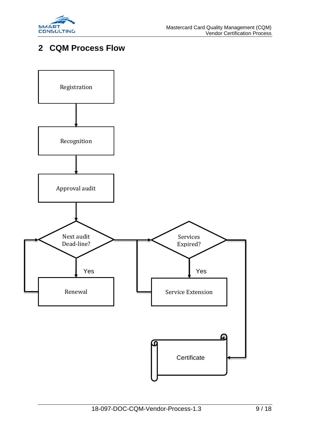

### <span id="page-8-0"></span>**2 CQM Process Flow**

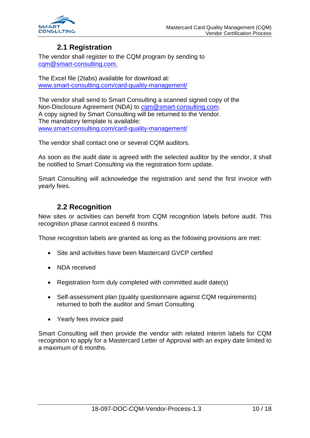

### **2.1 Registration**

<span id="page-9-0"></span>The vendor shall register to the CQM program by sending to [cqm@smart-consulting.com.](mailto:cqm@smart-consulting.com)

The Excel file (2tabs) available for download at: [www.smart-consulting.com/](http://www.smart-consulting.com/)card-quality-management/

The vendor shall send to Smart Consulting a scanned signed copy of the Non-Disclosure Agreement (NDA) to [cqm@smart-consulting.com.](mailto:cqm@smart-consulting.com) A copy signed by Smart Consulting will be returned to the Vendor. The mandatory template is available: [www.smart-consulting.com/card-quality-management/](http://www.smart-consulting.com/card-quality-management/)

The vendor shall contact one or several CQM auditors.

As soon as the audit date is agreed with the selected auditor by the vendor, it shall be notified to Smart Consulting via the registration form update.

Smart Consulting will acknowledge the registration and send the first invoice with yearly fees.

### **2.2 Recognition**

<span id="page-9-1"></span>New sites or activities can benefit from CQM recognition labels before audit. This recognition phase cannot exceed 6 months.

Those recognition labels are granted as long as the following provisions are met:

- Site and activities have been Mastercard GVCP certified
- NDA received
- Registration form duly completed with committed audit date(s)
- Self-assessment plan (quality questionnaire against CQM requirements) returned to both the auditor and Smart Consulting
- Yearly fees invoice paid

Smart Consulting will then provide the vendor with related interim labels for CQM recognition to apply for a Mastercard Letter of Approval with an expiry date limited to a maximum of 6 months.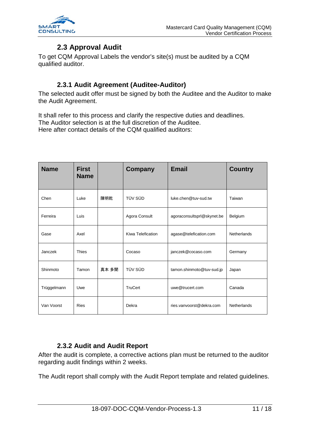

### **2.3 Approval Audit**

<span id="page-10-0"></span>To get CQM Approval Labels the vendor's site(s) must be audited by a CQM qualified auditor.

#### **2.3.1 Audit Agreement (Auditee-Auditor)**

<span id="page-10-1"></span>The selected audit offer must be signed by both the Auditee and the Auditor to make the Audit Agreement.

It shall refer to this process and clarify the respective duties and deadlines. The Auditor selection is at the full discretion of the Auditee. Here after contact details of the CQM qualified auditors:

| <b>Name</b> | <b>First</b><br><b>Name</b> |       | Company           | <b>Email</b>               | <b>Country</b>     |
|-------------|-----------------------------|-------|-------------------|----------------------------|--------------------|
| Chen        | Luke                        | 陳明乾   | TÜV SÜD           | luke.chen@tuv-sud.tw       | Taiwan             |
| Ferreira    | Luis                        |       | Agora Consult     | agoraconsultsprl@skynet.be | Belgium            |
| Gase        | Axel                        |       | Kiwa Telefication | agase@telefication.com     | Netherlands        |
| Janczek     | <b>Thies</b>                |       | Cocaso            | janczek@cocaso.com         | Germany            |
| Shinmoto    | Tamon                       | 真本 多聞 | TÜV SÜD           | tamon.shinmoto@tuv-sud.jp  | Japan              |
| Trüggelmann | Uwe                         |       | <b>TruCert</b>    | uwe@trucert.com            | Canada             |
| Van Voorst  | <b>Ries</b>                 |       | Dekra             | ries.vanvoorst@dekra.com   | <b>Netherlands</b> |

#### **2.3.2 Audit and Audit Report**

<span id="page-10-2"></span>After the audit is complete, a corrective actions plan must be returned to the auditor regarding audit findings within 2 weeks.

The Audit report shall comply with the Audit Report template and related guidelines.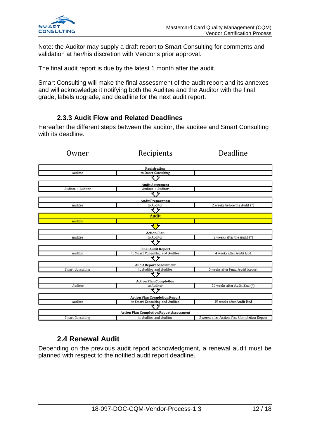

Note: the Auditor may supply a draft report to Smart Consulting for comments and validation at her/his discretion with Vendor's prior approval.

The final audit report is due by the latest 1 month after the audit.

Smart Consulting will make the final assessment of the audit report and its annexes and will acknowledge it notifying both the Auditee and the Auditor with the final grade, labels upgrade, and deadline for the next audit report.

#### **2.3.3 Audit Flow and Related Deadlines**

<span id="page-11-0"></span>Hereafter the different steps between the auditor, the auditee and Smart Consulting with its deadline.

| Owner                                | Recipients                                      | Deadline                                    |  |  |  |  |
|--------------------------------------|-------------------------------------------------|---------------------------------------------|--|--|--|--|
|                                      |                                                 |                                             |  |  |  |  |
| Registration                         |                                                 |                                             |  |  |  |  |
| Auditee                              | to Smart Consulting                             |                                             |  |  |  |  |
|                                      |                                                 |                                             |  |  |  |  |
|                                      | <b>Audit Agreement</b>                          |                                             |  |  |  |  |
| Auditee + Auditor                    | Auditee + Auditor                               |                                             |  |  |  |  |
|                                      | र प्र                                           |                                             |  |  |  |  |
|                                      | <b>Audit Preparation</b>                        |                                             |  |  |  |  |
| Auditee                              | to Auditor                                      | 2 weeks before the Audit (*)                |  |  |  |  |
|                                      |                                                 |                                             |  |  |  |  |
|                                      | <b>Audit</b>                                    |                                             |  |  |  |  |
| Auditor                              |                                                 |                                             |  |  |  |  |
|                                      |                                                 |                                             |  |  |  |  |
|                                      | <b>Action Plan</b>                              |                                             |  |  |  |  |
| Auditee                              | to Auditor                                      | 2 weeks after the Audit (*)                 |  |  |  |  |
|                                      |                                                 |                                             |  |  |  |  |
|                                      | <b>Final Audit Report</b>                       |                                             |  |  |  |  |
| Auditor                              | to Smart Consulting and Auditee                 | 4 weeks after Audit End                     |  |  |  |  |
|                                      |                                                 |                                             |  |  |  |  |
|                                      | <b>Audit Report Assessment</b>                  |                                             |  |  |  |  |
| <b>Smart Consulting</b>              | to Auditee and Auditor                          | 5 weeks after Final Audit Report            |  |  |  |  |
|                                      |                                                 |                                             |  |  |  |  |
| <b>Action Plan Completion</b>        |                                                 |                                             |  |  |  |  |
| Auditee                              | to Auditor                                      | 17 weeks after Audit End (*)                |  |  |  |  |
|                                      |                                                 |                                             |  |  |  |  |
| <b>Action Plan Completion Report</b> |                                                 |                                             |  |  |  |  |
| Auditor                              | to Smart Consulting and Auditee                 | 19 weeks after Audit End                    |  |  |  |  |
|                                      |                                                 |                                             |  |  |  |  |
|                                      | <b>Action Plan Completion Report Assessment</b> |                                             |  |  |  |  |
| <b>Smart Consulting</b>              | to Auditee and Auditor                          | 2 weeks after Action Plan Completion Report |  |  |  |  |

#### **2.4 Renewal Audit**

<span id="page-11-1"></span>Depending on the previous audit report acknowledgment, a renewal audit must be planned with respect to the notified audit report deadline.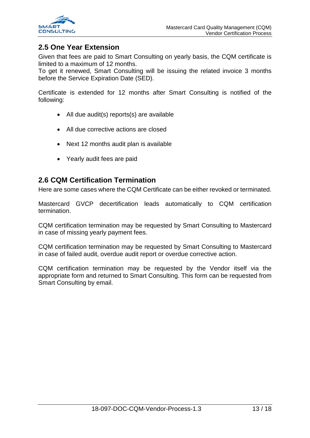

#### <span id="page-12-0"></span>**2.5 One Year Extension**

Given that fees are paid to Smart Consulting on yearly basis, the CQM certificate is limited to a maximum of 12 months.

To get it renewed, Smart Consulting will be issuing the related invoice 3 months before the Service Expiration Date (SED).

Certificate is extended for 12 months after Smart Consulting is notified of the following:

- All due audit(s) reports(s) are available
- All due corrective actions are closed
- Next 12 months audit plan is available
- Yearly audit fees are paid

#### <span id="page-12-1"></span>**2.6 CQM Certification Termination**

Here are some cases where the CQM Certificate can be either revoked or terminated.

Mastercard GVCP decertification leads automatically to CQM certification termination.

CQM certification termination may be requested by Smart Consulting to Mastercard in case of missing yearly payment fees.

CQM certification termination may be requested by Smart Consulting to Mastercard in case of failed audit, overdue audit report or overdue corrective action.

CQM certification termination may be requested by the Vendor itself via the appropriate form and returned to Smart Consulting. This form can be requested from Smart Consulting by email.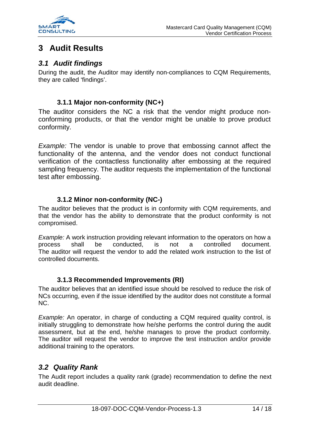

### <span id="page-13-0"></span>**3 Audit Results**

#### <span id="page-13-1"></span>*3.1 Audit findings*

During the audit, the Auditor may identify non-compliances to CQM Requirements, they are called 'findings'.

#### **3.1.1 Major non-conformity (NC+)**

<span id="page-13-2"></span>The auditor considers the NC a risk that the vendor might produce nonconforming products, or that the vendor might be unable to prove product conformity.

*Example:* The vendor is unable to prove that embossing cannot affect the functionality of the antenna, and the vendor does not conduct functional verification of the contactless functionality after embossing at the required sampling frequency. The auditor requests the implementation of the functional test after embossing.

#### **3.1.2 Minor non-conformity (NC-)**

<span id="page-13-3"></span>The auditor believes that the product is in conformity with CQM requirements, and that the vendor has the ability to demonstrate that the product conformity is not compromised.

*Example:* A work instruction providing relevant information to the operators on how a process shall be conducted, is not a controlled document. The auditor will request the vendor to add the related work instruction to the list of controlled documents.

#### **3.1.3 Recommended Improvements (RI)**

<span id="page-13-4"></span>The auditor believes that an identified issue should be resolved to reduce the risk of NCs occurring, even if the issue identified by the auditor does not constitute a formal NC.

*Example:* An operator, in charge of conducting a CQM required quality control, is initially struggling to demonstrate how he/she performs the control during the audit assessment, but at the end, he/she manages to prove the product conformity. The auditor will request the vendor to improve the test instruction and/or provide additional training to the operators.

### <span id="page-13-5"></span>*3.2 Quality Rank*

The Audit report includes a quality rank (grade) recommendation to define the next audit deadline.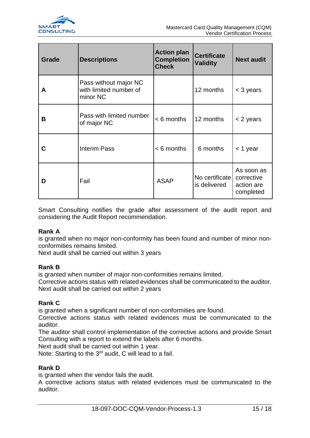

| Grade | <b>Descriptions</b>                                         | <b>Action plan</b><br><b>Completion</b><br><b>Check</b> | <b>Certificate</b><br><b>Validity</b> | <b>Next audit</b>                                   |
|-------|-------------------------------------------------------------|---------------------------------------------------------|---------------------------------------|-----------------------------------------------------|
| A     | Pass without major NC<br>with limited number of<br>minor NC |                                                         | 12 months                             | < 3 years                                           |
| B     | Pass with limited number<br>of major NC                     | $< 6$ months                                            | 12 months                             | < 2 years                                           |
|       | <b>Interim Pass</b>                                         | $< 6$ months                                            | 6 months                              | $<$ 1 year                                          |
| D     | Fail                                                        | <b>ASAP</b>                                             | No certificate<br>is delivered        | As soon as<br>corrective<br>action are<br>completed |

Smart Consulting notifies the grade after assessment of the audit report and considering the Audit Report recommendation.

#### **Rank A**

is granted when no major non-conformity has been found and number of minor nonconformities remains limited.

Next audit shall be carried out within 3 years

#### **Rank B**

is granted when number of major non-conformities remains limited.

Corrective actions status with related evidences shall be communicated to the auditor. Next audit shall be carried out within 2 years

#### **Rank C**

is granted when a significant number of non-conformities are found.

Corrective actions status with related evidences must be communicated to the auditor.

The auditor shall control implementation of the corrective actions and provide Smart Consulting with a report to extend the labels after 6 months.

Next audit shall be carried out within 1 year.

Note: Starting to the 3<sup>rd</sup> audit, C will lead to a fail.

#### **Rank D**

is granted when the vendor fails the audit.

A corrective actions status with related evidences must be communicated to the auditor.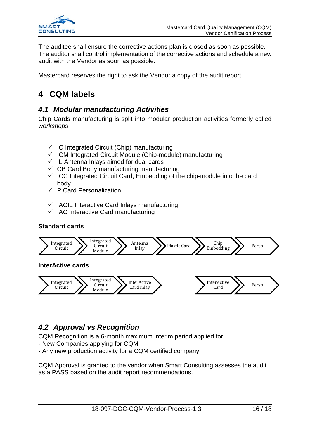

The auditee shall ensure the corrective actions plan is closed as soon as possible. The auditor shall control implementation of the corrective actions and schedule a new audit with the Vendor as soon as possible.

Mastercard reserves the right to ask the Vendor a copy of the audit report.

## <span id="page-15-0"></span>**4 CQM labels**

#### <span id="page-15-1"></span>*4.1 Modular manufacturing Activities*

Chip Cards manufacturing is split into modular production activities formerly called *workshops*

- $\checkmark$  IC Integrated Circuit (Chip) manufacturing
- $\checkmark$  ICM Integrated Circuit Module (Chip-module) manufacturing
- $\checkmark$  IL Antenna Inlays aimed for dual cards
- $\checkmark$  CB Card Body manufacturing manufacturing
- $\checkmark$  ICC Integrated Circuit Card, Embedding of the chip-module into the card body
- $\checkmark$  P Card Personalization
- $\checkmark$  IACIL Interactive Card Inlays manufacturing
- $\checkmark$  IAC Interactive Card manufacturing

#### **Standard cards**



### <span id="page-15-2"></span>*4.2 Approval vs Recognition*

CQM Recognition is a 6-month maximum interim period applied for:

- New Companies applying for CQM
- Any new production activity for a CQM certified company

CQM Approval is granted to the vendor when Smart Consulting assesses the audit as a PASS based on the audit report recommendations.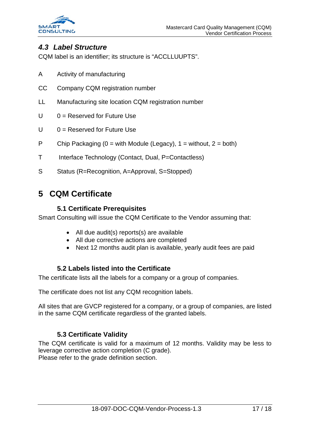

#### <span id="page-16-0"></span>*4.3 Label Structure*

CQM label is an identifier; its structure is "ACCLLUUPTS".

- A Activity of manufacturing
- CC Company CQM registration number
- LL Manufacturing site location CQM registration number
- $U \qquad 0 =$  Reserved for Future Use
- $U = 0$  = Reserved for Future Use
- P Chip Packaging ( $0 =$  with Module (Legacy),  $1 =$  without,  $2 =$  both)
- T Interface Technology (Contact, Dual, P=Contactless)
- S Status (R=Recognition, A=Approval, S=Stopped)

### <span id="page-16-1"></span>**5 CQM Certificate**

#### **5.1 Certificate Prerequisites**

<span id="page-16-2"></span>Smart Consulting will issue the CQM Certificate to the Vendor assuming that:

- All due audit(s) reports(s) are available
- All due corrective actions are completed
- Next 12 months audit plan is available, yearly audit fees are paid

#### **5.2 Labels listed into the Certificate**

<span id="page-16-3"></span>The certificate lists all the labels for a company or a group of companies.

The certificate does not list any CQM recognition labels.

All sites that are GVCP registered for a company, or a group of companies, are listed in the same CQM certificate regardless of the granted labels.

#### **5.3 Certificate Validity**

<span id="page-16-4"></span>The CQM certificate is valid for a maximum of 12 months. Validity may be less to leverage corrective action completion (C grade). Please refer to the grade definition section.